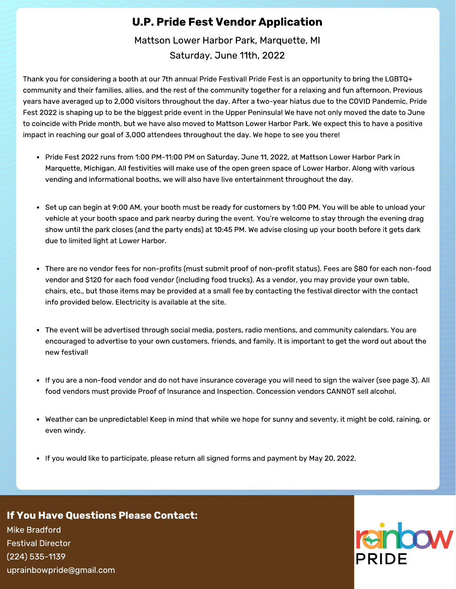## U.P. Pride Fest Vendor Application

Mattson Lower Harbor Park, Marquette, MI Saturday, June 11th, 2022

Thank you for considering a booth at our 7th annual Pride Festival! Pride Fest is an opportunity to bring the LGBTQ+<br>community and their families, allies, and the rest of the community together for a relaxing and fun after years have averaged up to 2,000 visitors throughout the day. After a two-year hiatus due to the COVID Pandemic, Pride Fest 2022 is shaping up to be the biggest pride event in the Upper Peninsula! We have not only moved the date to June to coincide with Pride month, but we have also moved to Mattson Lower Harbor Park. We expect this to have a positive  $t \sim \frac{1}{2}$  and  $\frac{1}{2}$  are also moved to  $\frac{1}{2}$  and  $\frac{1}{2}$  are also moved to have a positive and  $\frac{1}{2}$  and  $\frac{1}{2}$  and  $\frac{1}{2}$  are also moved to have a positive and  $\frac{1}{2}$  and  $\frac{1}{2}$  are also moved impact in reaching our goal of 3,000 attendees throughout the day. We hope to see you there!

- Pride Fest 2022 runs from 1:00 PM-11:00 PM on Saturday, June 11, 2022, at Mattson Lower Harbor Park in Marquette, Michigan. All festivities will make use of the open green space of Lower Harbor. Along with various vending and informational booths, we will also have live entertainment throughout the day.
- Set up can begin at 9:00 AM, your booth must be ready for customers by 1:00 PM. You will be able to unload your vehicle at your booth space and park nearby during the event. You're welcome to stay through the evening drag show until the park closes (and the party ends) at 10:45 PM. We advise closing up your booth before it gets dark due to limited light at Lower Harbor.
- There are no vendor fees for non-profits (must submit proof of non-profit status). Fees are \$80 for each non-food chairs, etc., but those items may be provided at a small fee by contacting the festival director with the contact info provided below. Electricity is available at the site. info provided below. Electricity is available at the site.
- The event will be advertised through social media, posters, radio mentions, and community calendars. You are encouraged to advertise to your own customers, friends, and family. It is important to get the word out about the
- If you are a non-food vendor and do not have insurance coverage you will need to sign the waiver  $\frac{1}{\sqrt{2}}$ . food vendors must provide Proof of Insurance and Inspection. Concession vendors CANNOT sell alcohol.
- Weather can be unpredictable! Keep in mind that while we hope for sunny and seventy, it might be cold, raining, or even windy.
- If you would like to participate, please return all signed forms and payment by May 20, 2022.

## If You Have Questions Please Contact:

Mike Bradford  $(224)$  535-1139 (224) 535-1139 uprainbowpride@gmail.com

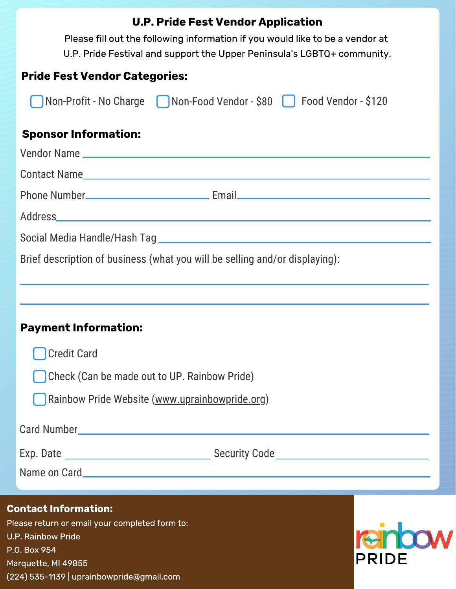| <b>U.P. Pride Fest Vendor Application</b><br>Please fill out the following information if you would like to be a vendor at<br>U.P. Pride Festival and support the Upper Peninsula's LGBTQ+ community. |  |  |  |
|-------------------------------------------------------------------------------------------------------------------------------------------------------------------------------------------------------|--|--|--|
| <b>Pride Fest Vendor Categories:</b>                                                                                                                                                                  |  |  |  |
| Non-Profit - No Charge [ Non-Food Vendor - \$80 [ ] Food Vendor - \$120                                                                                                                               |  |  |  |
| <b>Sponsor Information:</b>                                                                                                                                                                           |  |  |  |
|                                                                                                                                                                                                       |  |  |  |
|                                                                                                                                                                                                       |  |  |  |
|                                                                                                                                                                                                       |  |  |  |
|                                                                                                                                                                                                       |  |  |  |
|                                                                                                                                                                                                       |  |  |  |
| Brief description of business (what you will be selling and/or displaying):                                                                                                                           |  |  |  |
|                                                                                                                                                                                                       |  |  |  |
| <b>Payment Information:</b>                                                                                                                                                                           |  |  |  |
| <b>Credit Card</b>                                                                                                                                                                                    |  |  |  |
| Check (Can be made out to UP. Rainbow Pride)                                                                                                                                                          |  |  |  |
| Rainbow Pride Website (www.uprainbowpride.org)                                                                                                                                                        |  |  |  |
|                                                                                                                                                                                                       |  |  |  |
|                                                                                                                                                                                                       |  |  |  |
|                                                                                                                                                                                                       |  |  |  |
| <b>Contact Information:</b>                                                                                                                                                                           |  |  |  |

## Please return or email your completed form to:<br>U.P. Rainbow Pride P.O. Box 954 Marquette, MI 49855 marquette, MI 498555<br>Ann Anna Anna L

 $(224)$  535-1139 | uprainbowpride@gmail.com